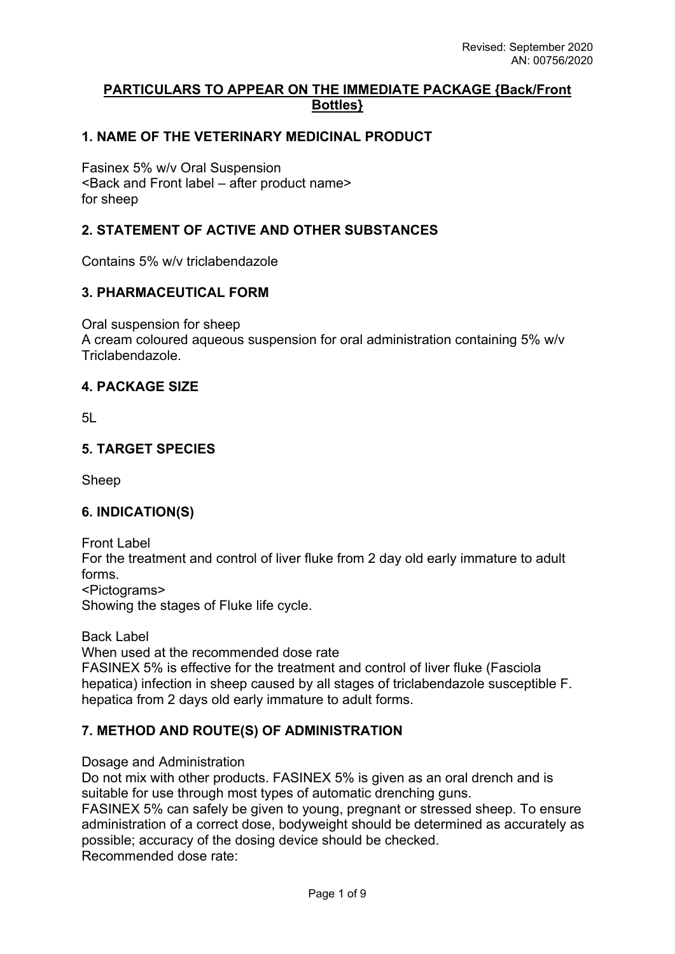## **PARTICULARS TO APPEAR ON THE IMMEDIATE PACKAGE {Back/Front Bottles}**

## **1. NAME OF THE VETERINARY MEDICINAL PRODUCT**

Fasinex 5% w/v Oral Suspension <Back and Front label – after product name> for sheep

## **2. STATEMENT OF ACTIVE AND OTHER SUBSTANCES**

Contains 5% w/v triclabendazole

## **3. PHARMACEUTICAL FORM**

Oral suspension for sheep

A cream coloured aqueous suspension for oral administration containing 5% w/v Triclabendazole.

### **4. PACKAGE SIZE**

5L

### **5. TARGET SPECIES**

Sheep

## **6. INDICATION(S)**

Front Label For the treatment and control of liver fluke from 2 day old early immature to adult forms. <Pictograms> Showing the stages of Fluke life cycle.

Back Label

When used at the recommended dose rate

FASINEX 5% is effective for the treatment and control of liver fluke (Fasciola hepatica) infection in sheep caused by all stages of triclabendazole susceptible F. hepatica from 2 days old early immature to adult forms.

## **7. METHOD AND ROUTE(S) OF ADMINISTRATION**

Dosage and Administration

Do not mix with other products. FASINEX 5% is given as an oral drench and is suitable for use through most types of automatic drenching guns.

FASINEX 5% can safely be given to young, pregnant or stressed sheep. To ensure administration of a correct dose, bodyweight should be determined as accurately as possible; accuracy of the dosing device should be checked. Recommended dose rate: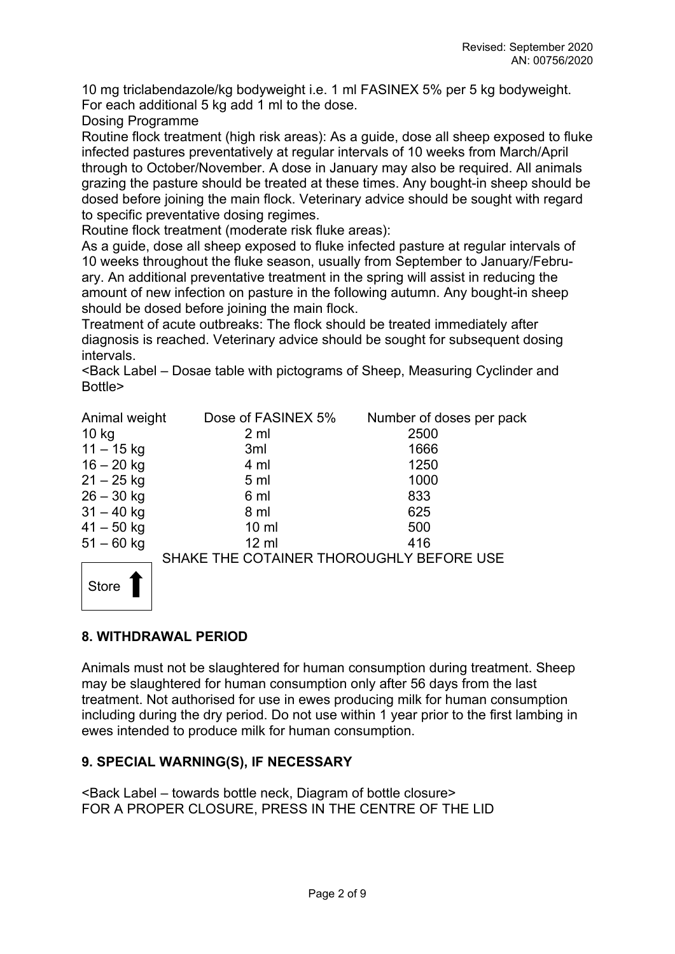10 mg triclabendazole/kg bodyweight i.e. 1 ml FASINEX 5% per 5 kg bodyweight. For each additional 5 kg add 1 ml to the dose.

Dosing Programme

Routine flock treatment (high risk areas): As a guide, dose all sheep exposed to fluke infected pastures preventatively at regular intervals of 10 weeks from March/April through to October/November. A dose in January may also be required. All animals grazing the pasture should be treated at these times. Any bought-in sheep should be dosed before joining the main flock. Veterinary advice should be sought with regard to specific preventative dosing regimes.

Routine flock treatment (moderate risk fluke areas):

As a guide, dose all sheep exposed to fluke infected pasture at regular intervals of 10 weeks throughout the fluke season, usually from September to January/February. An additional preventative treatment in the spring will assist in reducing the amount of new infection on pasture in the following autumn. Any bought-in sheep should be dosed before joining the main flock.

Treatment of acute outbreaks: The flock should be treated immediately after diagnosis is reached. Veterinary advice should be sought for subsequent dosing intervals.

<Back Label – Dosae table with pictograms of Sheep, Measuring Cyclinder and Bottle>

| Animal weight | Dose of FASINEX 5%                       | Number of doses per pack |
|---------------|------------------------------------------|--------------------------|
| $10$ kg       | 2 <sub>m</sub>                           | 2500                     |
| $11 - 15$ kg  | 3ml                                      | 1666                     |
| $16 - 20$ kg  | 4 ml                                     | 1250                     |
| $21 - 25$ kg  | 5 <sub>ml</sub>                          | 1000                     |
| $26 - 30$ kg  | 6 ml                                     | 833                      |
| $31 - 40$ kg  | 8 ml                                     | 625                      |
| $41 - 50$ kg  | $10 \mathrm{m}$                          | 500                      |
| $51 - 60$ kg  | $12 \mathrm{ml}$                         | 416                      |
|               | SHAKE THE COTAINER THOROUGHLY BEFORE USE |                          |



**8. WITHDRAWAL PERIOD**

Animals must not be slaughtered for human consumption during treatment. Sheep may be slaughtered for human consumption only after 56 days from the last treatment. Not authorised for use in ewes producing milk for human consumption including during the dry period. Do not use within 1 year prior to the first lambing in ewes intended to produce milk for human consumption.

## **9. SPECIAL WARNING(S), IF NECESSARY**

<Back Label – towards bottle neck, Diagram of bottle closure> FOR A PROPER CLOSURE, PRESS IN THE CENTRE OF THE LID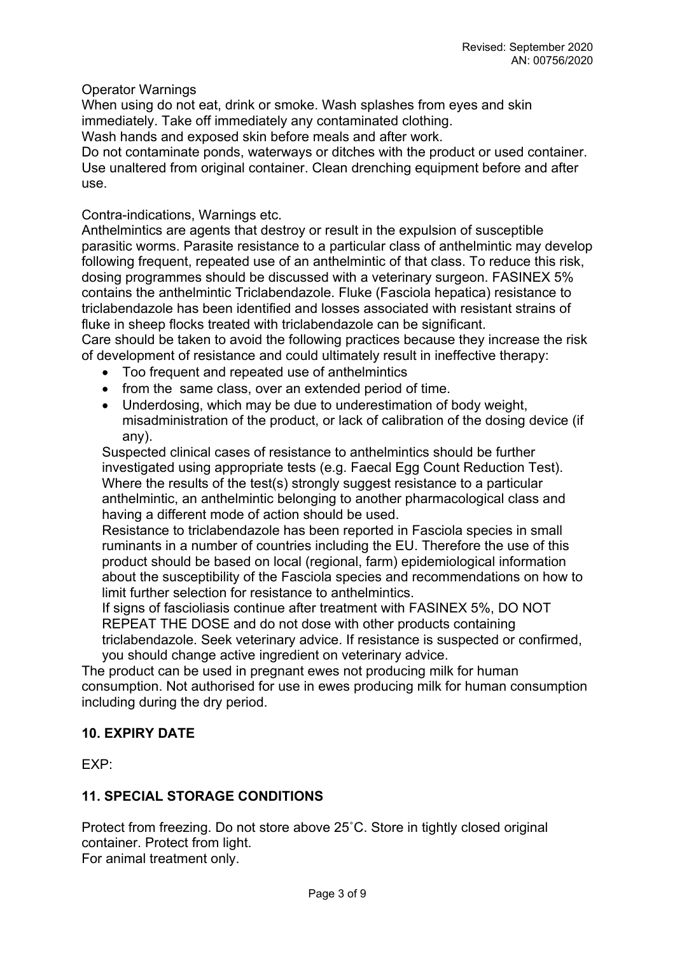### Operator Warnings

When using do not eat, drink or smoke. Wash splashes from eyes and skin immediately. Take off immediately any contaminated clothing.

Wash hands and exposed skin before meals and after work.

Do not contaminate ponds, waterways or ditches with the product or used container. Use unaltered from original container. Clean drenching equipment before and after use.

### Contra-indications, Warnings etc.

Anthelmintics are agents that destroy or result in the expulsion of susceptible parasitic worms. Parasite resistance to a particular class of anthelmintic may develop following frequent, repeated use of an anthelmintic of that class. To reduce this risk, dosing programmes should be discussed with a veterinary surgeon. FASINEX 5% contains the anthelmintic Triclabendazole. Fluke (Fasciola hepatica) resistance to triclabendazole has been identified and losses associated with resistant strains of fluke in sheep flocks treated with triclabendazole can be significant.

Care should be taken to avoid the following practices because they increase the risk of development of resistance and could ultimately result in ineffective therapy:

- Too frequent and repeated use of anthelmintics
- from the same class, over an extended period of time.
- Underdosing, which may be due to underestimation of body weight, misadministration of the product, or lack of calibration of the dosing device (if any).

Suspected clinical cases of resistance to anthelmintics should be further investigated using appropriate tests (e.g. Faecal Egg Count Reduction Test). Where the results of the test(s) strongly suggest resistance to a particular anthelmintic, an anthelmintic belonging to another pharmacological class and having a different mode of action should be used.

Resistance to triclabendazole has been reported in Fasciola species in small ruminants in a number of countries including the EU. Therefore the use of this product should be based on local (regional, farm) epidemiological information about the susceptibility of the Fasciola species and recommendations on how to limit further selection for resistance to anthelmintics.

If signs of fascioliasis continue after treatment with FASINEX 5%, DO NOT REPEAT THE DOSE and do not dose with other products containing triclabendazole. Seek veterinary advice. If resistance is suspected or confirmed,

you should change active ingredient on veterinary advice.

The product can be used in pregnant ewes not producing milk for human consumption. Not authorised for use in ewes producing milk for human consumption including during the dry period.

## **10. EXPIRY DATE**

EXP:

## **11. SPECIAL STORAGE CONDITIONS**

Protect from freezing. Do not store above 25˚C. Store in tightly closed original container. Protect from light. For animal treatment only.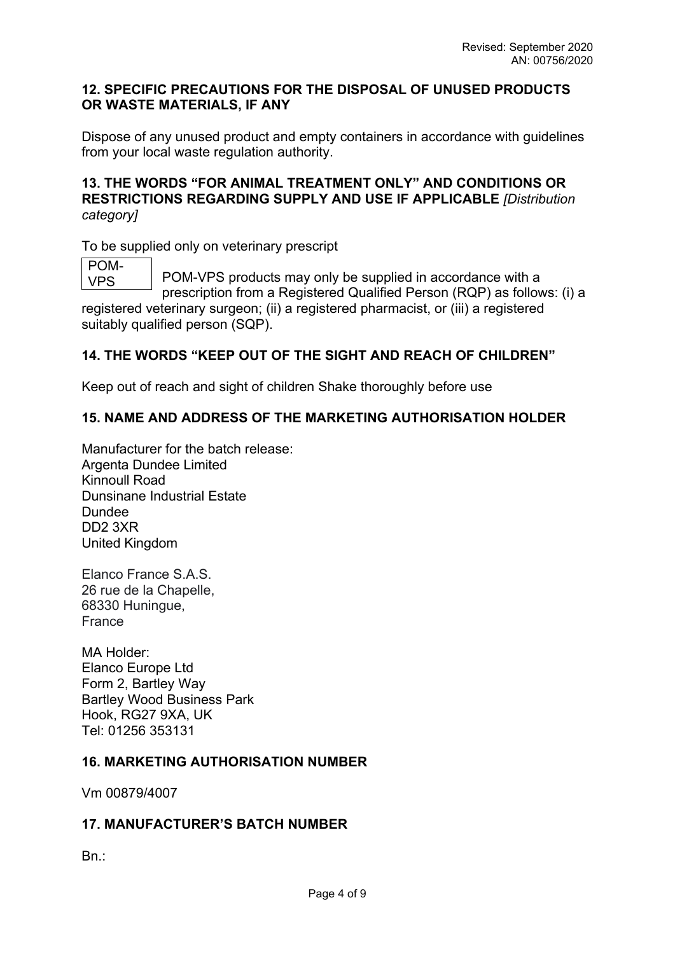### **12. SPECIFIC PRECAUTIONS FOR THE DISPOSAL OF UNUSED PRODUCTS OR WASTE MATERIALS, IF ANY**

Dispose of any unused product and empty containers in accordance with guidelines from your local waste regulation authority.

## **13. THE WORDS "FOR ANIMAL TREATMENT ONLY" AND CONDITIONS OR RESTRICTIONS REGARDING SUPPLY AND USE IF APPLICABLE** *[Distribution category]*

To be supplied only on veterinary prescript

POM-VPS

POM-VPS products may only be supplied in accordance with a prescription from a Registered Qualified Person (RQP) as follows: (i) a

registered veterinary surgeon; (ii) a registered pharmacist, or (iii) a registered suitably qualified person (SQP).

# **14. THE WORDS "KEEP OUT OF THE SIGHT AND REACH OF CHILDREN"**

Keep out of reach and sight of children Shake thoroughly before use

## **15. NAME AND ADDRESS OF THE MARKETING AUTHORISATION HOLDER**

Manufacturer for the batch release: Argenta Dundee Limited Kinnoull Road Dunsinane Industrial Estate Dundee DD2 3XR United Kingdom

Elanco France S.A.S. 26 rue de la Chapelle, 68330 Huningue, France

MA Holder: Elanco Europe Ltd Form 2, Bartley Way Bartley Wood Business Park Hook, RG27 9XA, UK Tel: 01256 353131

# **16. MARKETING AUTHORISATION NUMBER**

Vm 00879/4007

## **17. MANUFACTURER'S BATCH NUMBER**

Bn.: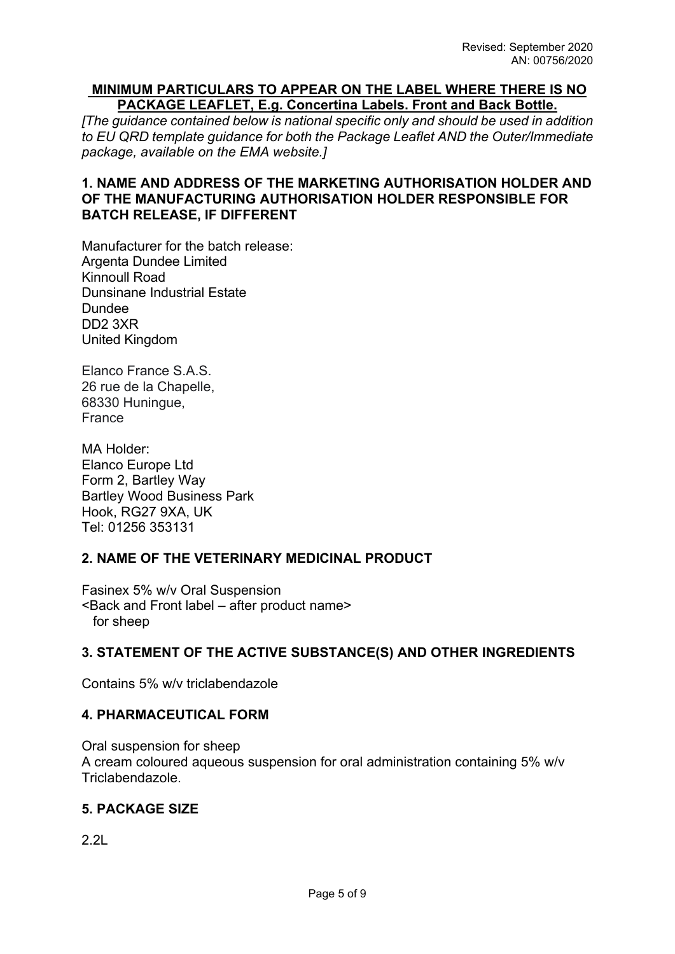#### **MINIMUM PARTICULARS TO APPEAR ON THE LABEL WHERE THERE IS NO PACKAGE LEAFLET, E.g. Concertina Labels. Front and Back Bottle.**

*[The guidance contained below is national specific only and should be used in addition to EU QRD template guidance for both the Package Leaflet AND the Outer/Immediate package, available on the EMA website.]*

## **1. NAME AND ADDRESS OF THE MARKETING AUTHORISATION HOLDER AND OF THE MANUFACTURING AUTHORISATION HOLDER RESPONSIBLE FOR BATCH RELEASE, IF DIFFERENT**

Manufacturer for the batch release: Argenta Dundee Limited Kinnoull Road Dunsinane Industrial Estate Dundee DD2 3XR United Kingdom

Elanco France S.A.S. 26 rue de la Chapelle, 68330 Huningue, France

MA Holder: Elanco Europe Ltd Form 2, Bartley Way Bartley Wood Business Park Hook, RG27 9XA, UK Tel: 01256 353131

## **2. NAME OF THE VETERINARY MEDICINAL PRODUCT**

Fasinex 5% w/v Oral Suspension <Back and Front label – after product name> for sheep

## **3. STATEMENT OF THE ACTIVE SUBSTANCE(S) AND OTHER INGREDIENTS**

Contains 5% w/v triclabendazole

## **4. PHARMACEUTICAL FORM**

Oral suspension for sheep A cream coloured aqueous suspension for oral administration containing 5% w/v Triclabendazole.

## **5. PACKAGE SIZE**

 $2.2$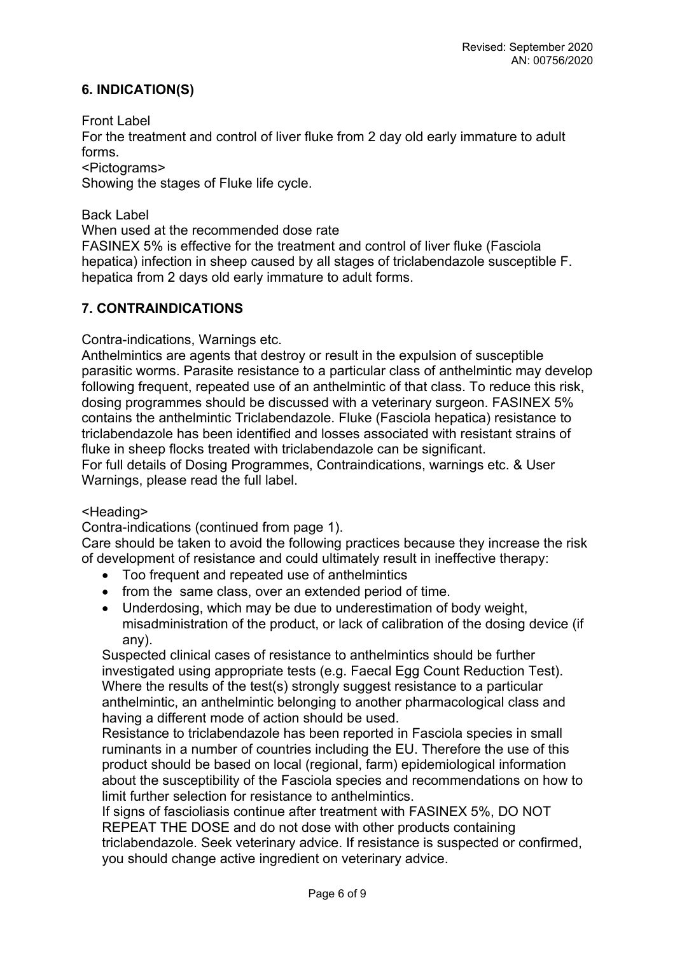## **6. INDICATION(S)**

Front Label

For the treatment and control of liver fluke from 2 day old early immature to adult forms.

<Pictograms>

Showing the stages of Fluke life cycle.

Back Label

When used at the recommended dose rate

FASINEX 5% is effective for the treatment and control of liver fluke (Fasciola hepatica) infection in sheep caused by all stages of triclabendazole susceptible F. hepatica from 2 days old early immature to adult forms.

## **7. CONTRAINDICATIONS**

Contra-indications, Warnings etc.

Anthelmintics are agents that destroy or result in the expulsion of susceptible parasitic worms. Parasite resistance to a particular class of anthelmintic may develop following frequent, repeated use of an anthelmintic of that class. To reduce this risk, dosing programmes should be discussed with a veterinary surgeon. FASINEX 5% contains the anthelmintic Triclabendazole. Fluke (Fasciola hepatica) resistance to triclabendazole has been identified and losses associated with resistant strains of fluke in sheep flocks treated with triclabendazole can be significant.

For full details of Dosing Programmes, Contraindications, warnings etc. & User Warnings, please read the full label.

#### <Heading>

Contra-indications (continued from page 1).

Care should be taken to avoid the following practices because they increase the risk of development of resistance and could ultimately result in ineffective therapy:

- Too frequent and repeated use of anthelmintics
- from the same class, over an extended period of time.
- Underdosing, which may be due to underestimation of body weight, misadministration of the product, or lack of calibration of the dosing device (if any).

Suspected clinical cases of resistance to anthelmintics should be further investigated using appropriate tests (e.g. Faecal Egg Count Reduction Test). Where the results of the test(s) strongly suggest resistance to a particular anthelmintic, an anthelmintic belonging to another pharmacological class and having a different mode of action should be used.

Resistance to triclabendazole has been reported in Fasciola species in small ruminants in a number of countries including the EU. Therefore the use of this product should be based on local (regional, farm) epidemiological information about the susceptibility of the Fasciola species and recommendations on how to limit further selection for resistance to anthelmintics.

If signs of fascioliasis continue after treatment with FASINEX 5%, DO NOT REPEAT THE DOSE and do not dose with other products containing triclabendazole. Seek veterinary advice. If resistance is suspected or confirmed, you should change active ingredient on veterinary advice.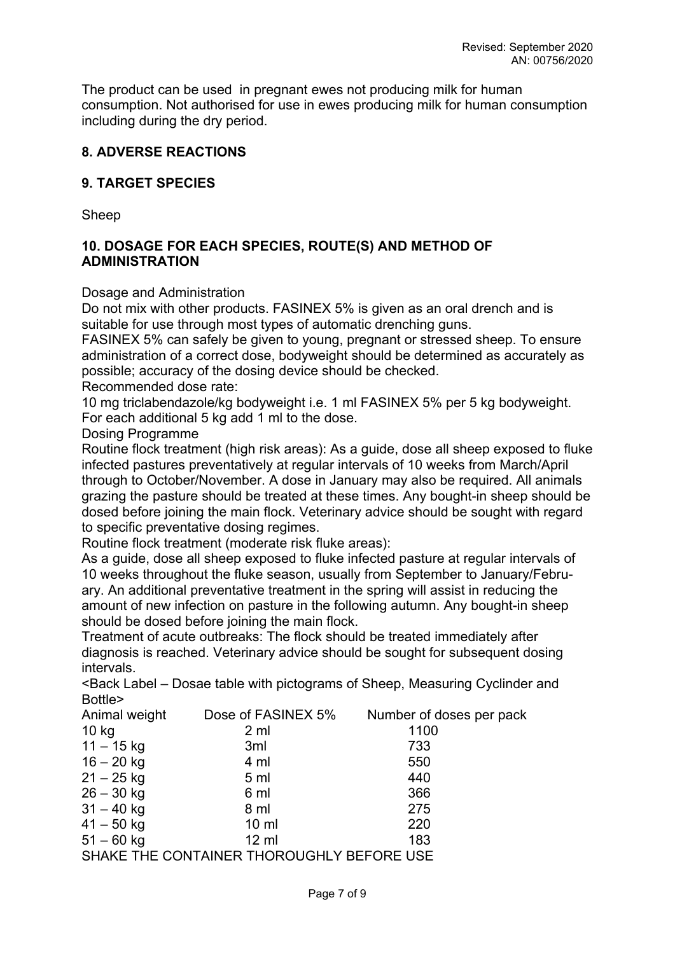The product can be used in pregnant ewes not producing milk for human consumption. Not authorised for use in ewes producing milk for human consumption including during the dry period.

## **8. ADVERSE REACTIONS**

## **9. TARGET SPECIES**

Sheep

## **10. DOSAGE FOR EACH SPECIES, ROUTE(S) AND METHOD OF ADMINISTRATION**

Dosage and Administration

Do not mix with other products. FASINEX 5% is given as an oral drench and is suitable for use through most types of automatic drenching guns.

FASINEX 5% can safely be given to young, pregnant or stressed sheep. To ensure administration of a correct dose, bodyweight should be determined as accurately as possible; accuracy of the dosing device should be checked.

Recommended dose rate:

10 mg triclabendazole/kg bodyweight i.e. 1 ml FASINEX 5% per 5 kg bodyweight. For each additional 5 kg add 1 ml to the dose.

Dosing Programme

Routine flock treatment (high risk areas): As a guide, dose all sheep exposed to fluke infected pastures preventatively at regular intervals of 10 weeks from March/April through to October/November. A dose in January may also be required. All animals grazing the pasture should be treated at these times. Any bought-in sheep should be dosed before joining the main flock. Veterinary advice should be sought with regard to specific preventative dosing regimes.

Routine flock treatment (moderate risk fluke areas):

As a guide, dose all sheep exposed to fluke infected pasture at regular intervals of 10 weeks throughout the fluke season, usually from September to January/February. An additional preventative treatment in the spring will assist in reducing the amount of new infection on pasture in the following autumn. Any bought-in sheep should be dosed before joining the main flock.

Treatment of acute outbreaks: The flock should be treated immediately after diagnosis is reached. Veterinary advice should be sought for subsequent dosing intervals.

<Back Label – Dosae table with pictograms of Sheep, Measuring Cyclinder and Bottle>

| Animal weight | Dose of FASINEX 5%                        | Number of doses per pack |
|---------------|-------------------------------------------|--------------------------|
| 10 kg         | 2 <sub>m</sub>                            | 1100                     |
| $11 - 15$ kg  | 3 <sub>ml</sub>                           | 733                      |
| $16 - 20$ kg  | 4 ml                                      | 550                      |
| $21 - 25$ kg  | 5 <sub>ml</sub>                           | 440                      |
| $26 - 30$ kg  | 6 ml                                      | 366                      |
| $31 - 40$ kg  | 8 ml                                      | 275                      |
| $41 - 50$ kg  | $10 \mathrm{m}$                           | 220                      |
| $51 - 60$ kg  | $12 \mathrm{ml}$                          | 183                      |
|               | SHAKE THE CONTAINER THOROUGHLY BEFORE USE |                          |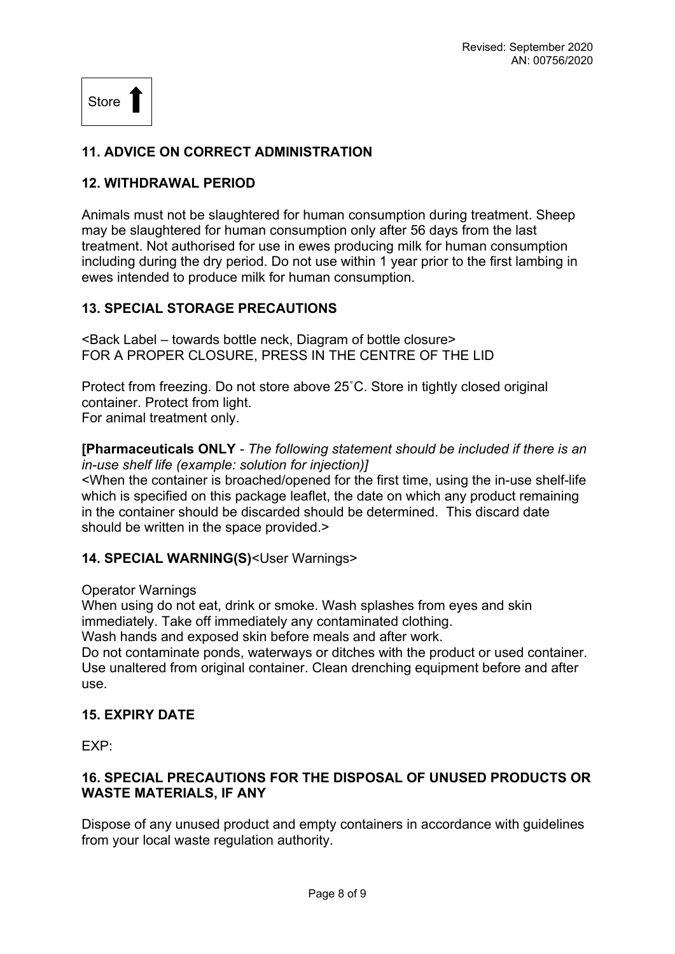Store

## **11. ADVICE ON CORRECT ADMINISTRATION**

### **12. WITHDRAWAL PERIOD**

Animals must not be slaughtered for human consumption during treatment. Sheep may be slaughtered for human consumption only after 56 days from the last treatment. Not authorised for use in ewes producing milk for human consumption including during the dry period. Do not use within 1 year prior to the first lambing in ewes intended to produce milk for human consumption.

### **13. SPECIAL STORAGE PRECAUTIONS**

<Back Label – towards bottle neck, Diagram of bottle closure> FOR A PROPER CLOSURE, PRESS IN THE CENTRE OF THE LID

Protect from freezing. Do not store above 25˚C. Store in tightly closed original container. Protect from light. For animal treatment only.

**[Pharmaceuticals ONLY** *- The following statement should be included if there is an in-use shelf life (example: solution for injection)]*

<When the container is broached/opened for the first time, using the in-use shelf-life which is specified on this package leaflet, the date on which any product remaining in the container should be discarded should be determined. This discard date should be written in the space provided.>

#### **14. SPECIAL WARNING(S)**<User Warnings>

#### Operator Warnings

When using do not eat, drink or smoke. Wash splashes from eyes and skin immediately. Take off immediately any contaminated clothing.

Wash hands and exposed skin before meals and after work.

Do not contaminate ponds, waterways or ditches with the product or used container. Use unaltered from original container. Clean drenching equipment before and after use.

### **15. EXPIRY DATE**

EXP:

## **16. SPECIAL PRECAUTIONS FOR THE DISPOSAL OF UNUSED PRODUCTS OR WASTE MATERIALS, IF ANY**

Dispose of any unused product and empty containers in accordance with guidelines from your local waste regulation authority.